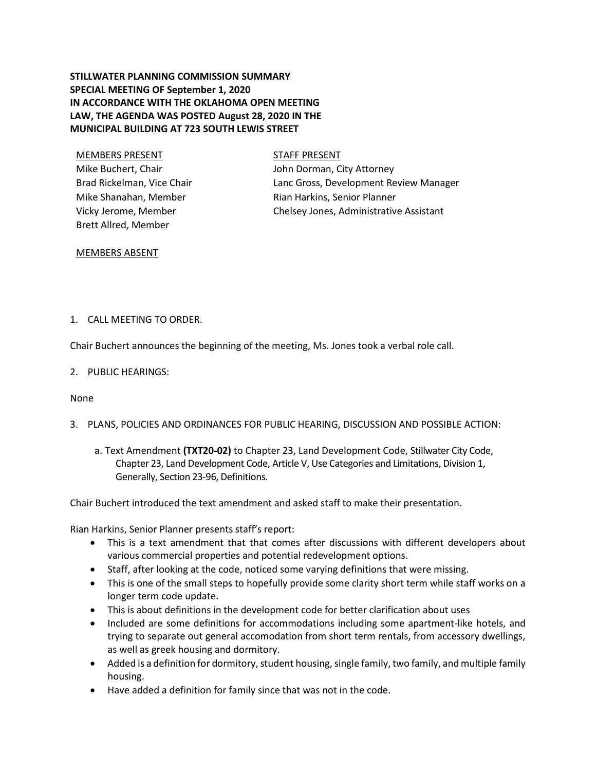## **STILLWATER PLANNING COMMISSION SUMMARY SPECIAL MEETING OF September 1, 2020 IN ACCORDANCE WITH THE OKLAHOMA OPEN MEETING LAW, THE AGENDA WAS POSTED August 28, 2020 IN THE MUNICIPAL BUILDING AT 723 SOUTH LEWIS STREET**

# MEMBERS PRESENT STAFF PRESENT Mike Buchert, Chair Brad Rickelman, Vice Chair Mike Shanahan, Member Vicky Jerome, Member Brett Allred, Member

John Dorman, City Attorney

Lanc Gross, Development Review Manager Rian Harkins, Senior Planner Chelsey Jones, Administrative Assistant

### MEMBERS ABSENT

## 1. CALL MEETING TO ORDER.

Chair Buchert announces the beginning of the meeting, Ms. Jones took a verbal role call.

2. PUBLIC HEARINGS:

None

- 3. PLANS, POLICIES AND ORDINANCES FOR PUBLIC HEARING, DISCUSSION AND POSSIBLE ACTION:
	- a. Text Amendment **(TXT20-02)** to Chapter 23, Land Development Code, Stillwater City Code, Chapter 23, Land Development Code, Article V, Use Categories and Limitations, Division 1, Generally, Section 23-96, Definitions.

Chair Buchert introduced the text amendment and asked staff to make their presentation.

Rian Harkins, Senior Planner presents staff's report:

- This is a text amendment that that comes after discussions with different developers about various commercial properties and potential redevelopment options.
- Staff, after looking at the code, noticed some varying definitions that were missing.
- This is one of the small steps to hopefully provide some clarity short term while staff works on a longer term code update.
- This is about definitions in the development code for better clarification about uses
- Included are some definitions for accommodations including some apartment-like hotels, and trying to separate out general accomodation from short term rentals, from accessory dwellings, as well as greek housing and dormitory.
- Added is a definition for dormitory, student housing, single family, two family, and multiple family housing.
- Have added a definition for family since that was not in the code.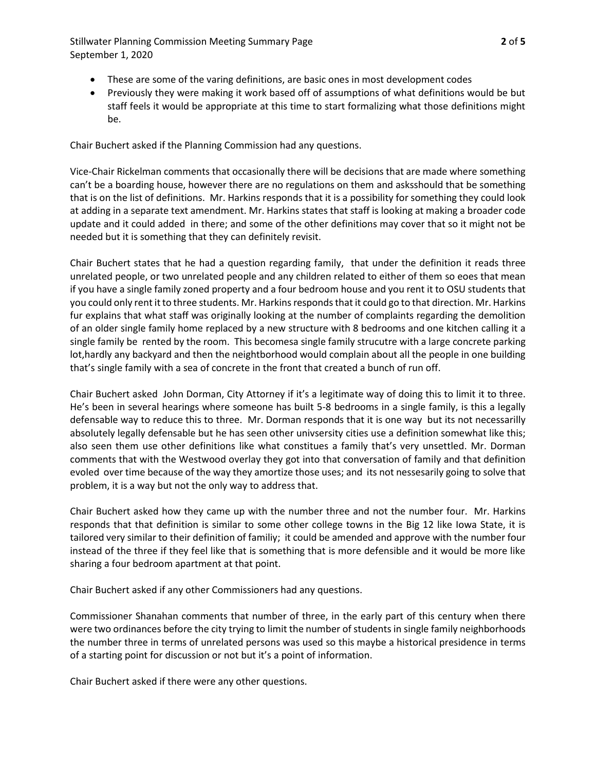Stillwater Planning Commission Meeting Summary Page **2** of **5** September 1, 2020

- These are some of the varing definitions, are basic ones in most development codes
- Previously they were making it work based off of assumptions of what definitions would be but staff feels it would be appropriate at this time to start formalizing what those definitions might be.

Chair Buchert asked if the Planning Commission had any questions.

Vice-Chair Rickelman comments that occasionally there will be decisions that are made where something can't be a boarding house, however there are no regulations on them and asksshould that be something that is on the list of definitions. Mr. Harkins responds that it is a possibility for something they could look at adding in a separate text amendment. Mr. Harkins states that staff is looking at making a broader code update and it could added in there; and some of the other definitions may cover that so it might not be needed but it is something that they can definitely revisit.

Chair Buchert states that he had a question regarding family, that under the definition it reads three unrelated people, or two unrelated people and any children related to either of them so eoes that mean if you have a single family zoned property and a four bedroom house and you rent it to OSU students that you could only rent it to three students. Mr. Harkins responds that it could go to that direction. Mr. Harkins fur explains that what staff was originally looking at the number of complaints regarding the demolition of an older single family home replaced by a new structure with 8 bedrooms and one kitchen calling it a single family be rented by the room. This becomesa single family strucutre with a large concrete parking lot,hardly any backyard and then the neightborhood would complain about all the people in one building that's single family with a sea of concrete in the front that created a bunch of run off.

Chair Buchert asked John Dorman, City Attorney if it's a legitimate way of doing this to limit it to three. He's been in several hearings where someone has built 5-8 bedrooms in a single family, is this a legally defensable way to reduce this to three. Mr. Dorman responds that it is one way but its not necessarilly absolutely legally defensable but he has seen other univsersity cities use a definition somewhat like this; also seen them use other definitions like what constitues a family that's very unsettled. Mr. Dorman comments that with the Westwood overlay they got into that conversation of family and that definition evoled over time because of the way they amortize those uses; and its not nessesarily going to solve that problem, it is a way but not the only way to address that.

Chair Buchert asked how they came up with the number three and not the number four. Mr. Harkins responds that that definition is similar to some other college towns in the Big 12 like Iowa State, it is tailored very similar to their definition of familiy; it could be amended and approve with the number four instead of the three if they feel like that is something that is more defensible and it would be more like sharing a four bedroom apartment at that point.

Chair Buchert asked if any other Commissioners had any questions.

Commissioner Shanahan comments that number of three, in the early part of this century when there were two ordinances before the city trying to limit the number of students in single family neighborhoods the number three in terms of unrelated persons was used so this maybe a historical presidence in terms of a starting point for discussion or not but it's a point of information.

Chair Buchert asked if there were any other questions.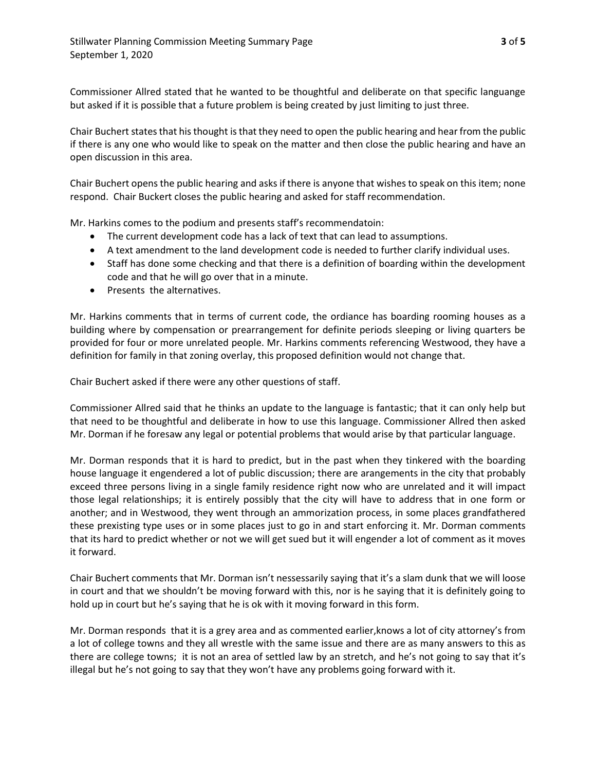Commissioner Allred stated that he wanted to be thoughtful and deliberate on that specific languange but asked if it is possible that a future problem is being created by just limiting to just three.

Chair Buchert states that his thought is that they need to open the public hearing and hear from the public if there is any one who would like to speak on the matter and then close the public hearing and have an open discussion in this area.

Chair Buchert opens the public hearing and asks if there is anyone that wishes to speak on this item; none respond. Chair Buckert closes the public hearing and asked for staff recommendation.

Mr. Harkins comes to the podium and presents staff's recommendatoin:

- The current development code has a lack of text that can lead to assumptions.
- A text amendment to the land development code is needed to further clarify individual uses.
- Staff has done some checking and that there is a definition of boarding within the development code and that he will go over that in a minute.
- Presents the alternatives.

Mr. Harkins comments that in terms of current code, the ordiance has boarding rooming houses as a building where by compensation or prearrangement for definite periods sleeping or living quarters be provided for four or more unrelated people. Mr. Harkins comments referencing Westwood, they have a definition for family in that zoning overlay, this proposed definition would not change that.

Chair Buchert asked if there were any other questions of staff.

Commissioner Allred said that he thinks an update to the language is fantastic; that it can only help but that need to be thoughtful and deliberate in how to use this language. Commissioner Allred then asked Mr. Dorman if he foresaw any legal or potential problems that would arise by that particular language.

Mr. Dorman responds that it is hard to predict, but in the past when they tinkered with the boarding house language it engendered a lot of public discussion; there are arangements in the city that probably exceed three persons living in a single family residence right now who are unrelated and it will impact those legal relationships; it is entirely possibly that the city will have to address that in one form or another; and in Westwood, they went through an ammorization process, in some places grandfathered these prexisting type uses or in some places just to go in and start enforcing it. Mr. Dorman comments that its hard to predict whether or not we will get sued but it will engender a lot of comment as it moves it forward.

Chair Buchert comments that Mr. Dorman isn't nessessarily saying that it's a slam dunk that we will loose in court and that we shouldn't be moving forward with this, nor is he saying that it is definitely going to hold up in court but he's saying that he is ok with it moving forward in this form.

Mr. Dorman responds that it is a grey area and as commented earlier,knows a lot of city attorney's from a lot of college towns and they all wrestle with the same issue and there are as many answers to this as there are college towns; it is not an area of settled law by an stretch, and he's not going to say that it's illegal but he's not going to say that they won't have any problems going forward with it.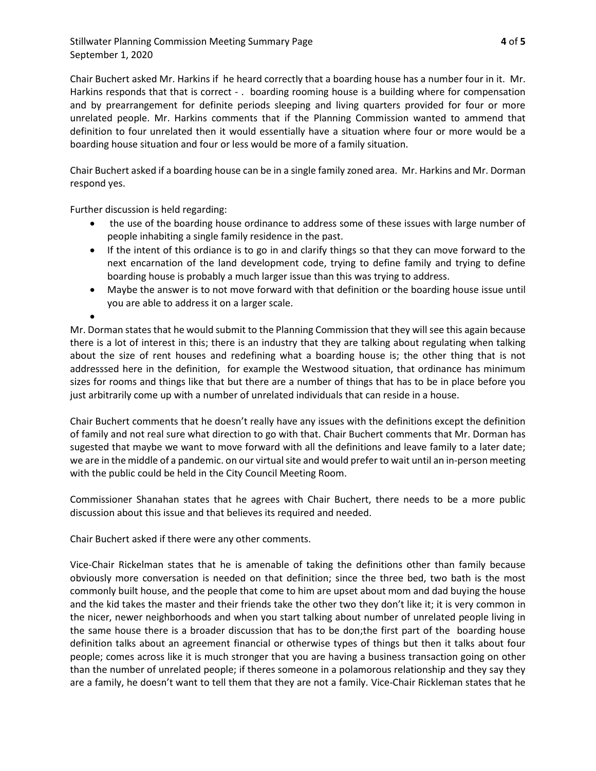Stillwater Planning Commission Meeting Summary Page **4** of **5** September 1, 2020

Chair Buchert asked Mr. Harkins if he heard correctly that a boarding house has a number four in it. Mr. Harkins responds that that is correct - . boarding rooming house is a building where for compensation and by prearrangement for definite periods sleeping and living quarters provided for four or more unrelated people. Mr. Harkins comments that if the Planning Commission wanted to ammend that definition to four unrelated then it would essentially have a situation where four or more would be a boarding house situation and four or less would be more of a family situation.

Chair Buchert asked if a boarding house can be in a single family zoned area. Mr. Harkins and Mr. Dorman respond yes.

Further discussion is held regarding:

- the use of the boarding house ordinance to address some of these issues with large number of people inhabiting a single family residence in the past.
- If the intent of this ordiance is to go in and clarify things so that they can move forward to the next encarnation of the land development code, trying to define family and trying to define boarding house is probably a much larger issue than this was trying to address.
- Maybe the answer is to not move forward with that definition or the boarding house issue until you are able to address it on a larger scale.

 $\bullet$ 

Mr. Dorman states that he would submit to the Planning Commission that they will see this again because there is a lot of interest in this; there is an industry that they are talking about regulating when talking about the size of rent houses and redefining what a boarding house is; the other thing that is not addresssed here in the definition, for example the Westwood situation, that ordinance has minimum sizes for rooms and things like that but there are a number of things that has to be in place before you just arbitrarily come up with a number of unrelated individuals that can reside in a house.

Chair Buchert comments that he doesn't really have any issues with the definitions except the definition of family and not real sure what direction to go with that. Chair Buchert comments that Mr. Dorman has sugested that maybe we want to move forward with all the definitions and leave family to a later date; we are in the middle of a pandemic. on our virtual site and would prefer to wait until an in-person meeting with the public could be held in the City Council Meeting Room.

Commissioner Shanahan states that he agrees with Chair Buchert, there needs to be a more public discussion about this issue and that believes its required and needed.

Chair Buchert asked if there were any other comments.

Vice-Chair Rickelman states that he is amenable of taking the definitions other than family because obviously more conversation is needed on that definition; since the three bed, two bath is the most commonly built house, and the people that come to him are upset about mom and dad buying the house and the kid takes the master and their friends take the other two they don't like it; it is very common in the nicer, newer neighborhoods and when you start talking about number of unrelated people living in the same house there is a broader discussion that has to be don;the first part of the boarding house definition talks about an agreement financial or otherwise types of things but then it talks about four people; comes across like it is much stronger that you are having a business transaction going on other than the number of unrelated people; if theres someone in a polamorous relationship and they say they are a family, he doesn't want to tell them that they are not a family. Vice-Chair Rickleman states that he